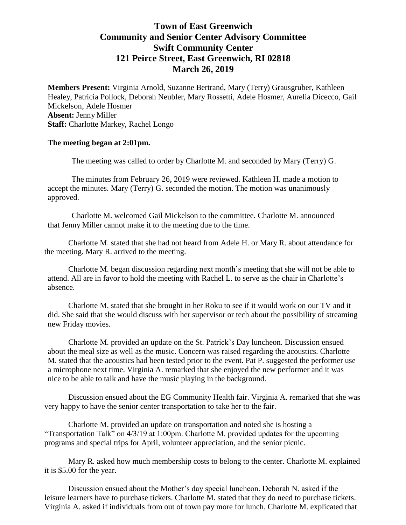## **Town of East Greenwich Community and Senior Center Advisory Committee Swift Community Center 121 Peirce Street, East Greenwich, RI 02818 March 26, 2019**

**Members Present:** Virginia Arnold, Suzanne Bertrand, Mary (Terry) Grausgruber, Kathleen Healey, Patricia Pollock, Deborah Neubler, Mary Rossetti, Adele Hosmer, Aurelia Dicecco, Gail Mickelson, Adele Hosmer **Absent:** Jenny Miller **Staff:** Charlotte Markey, Rachel Longo

## **The meeting began at 2:01pm.**

The meeting was called to order by Charlotte M. and seconded by Mary (Terry) G.

The minutes from February 26, 2019 were reviewed. Kathleen H. made a motion to accept the minutes. Mary (Terry) G. seconded the motion. The motion was unanimously approved.

Charlotte M. welcomed Gail Mickelson to the committee. Charlotte M. announced that Jenny Miller cannot make it to the meeting due to the time.

Charlotte M. stated that she had not heard from Adele H. or Mary R. about attendance for the meeting. Mary R. arrived to the meeting.

Charlotte M. began discussion regarding next month's meeting that she will not be able to attend. All are in favor to hold the meeting with Rachel L. to serve as the chair in Charlotte's absence.

Charlotte M. stated that she brought in her Roku to see if it would work on our TV and it did. She said that she would discuss with her supervisor or tech about the possibility of streaming new Friday movies.

Charlotte M. provided an update on the St. Patrick's Day luncheon. Discussion ensued about the meal size as well as the music. Concern was raised regarding the acoustics. Charlotte M. stated that the acoustics had been tested prior to the event. Pat P. suggested the performer use a microphone next time. Virginia A. remarked that she enjoyed the new performer and it was nice to be able to talk and have the music playing in the background.

Discussion ensued about the EG Community Health fair. Virginia A. remarked that she was very happy to have the senior center transportation to take her to the fair.

Charlotte M. provided an update on transportation and noted she is hosting a "Transportation Talk" on 4/3/19 at 1:00pm. Charlotte M. provided updates for the upcoming programs and special trips for April, volunteer appreciation, and the senior picnic.

Mary R. asked how much membership costs to belong to the center. Charlotte M. explained it is \$5.00 for the year.

Discussion ensued about the Mother's day special luncheon. Deborah N. asked if the leisure learners have to purchase tickets. Charlotte M. stated that they do need to purchase tickets. Virginia A. asked if individuals from out of town pay more for lunch. Charlotte M. explicated that